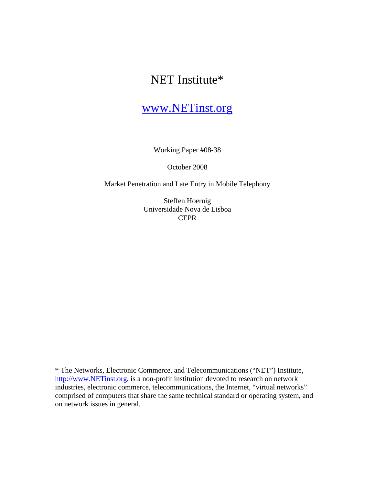# NET Institute\*

# www.NETinst.org

Working Paper #08-38

October 2008

Market Penetration and Late Entry in Mobile Telephony

Steffen Hoernig Universidade Nova de Lisboa CEPR

\* The Networks, Electronic Commerce, and Telecommunications ("NET") Institute, http://www.NETinst.org, is a non-profit institution devoted to research on network industries, electronic commerce, telecommunications, the Internet, "virtual networks" comprised of computers that share the same technical standard or operating system, and on network issues in general.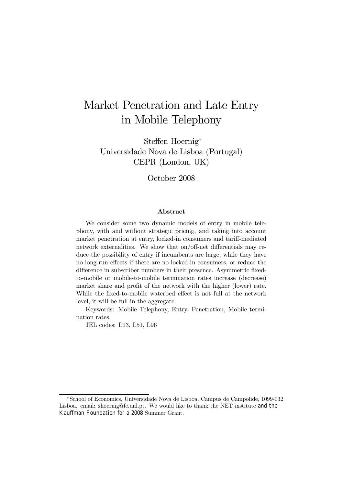# Market Penetration and Late Entry in Mobile Telephony

Steffen Hoernig<sup>∗</sup> Universidade Nova de Lisboa (Portugal) CEPR (London, UK)

October 2008

#### Abstract

We consider some two dynamic models of entry in mobile telephony, with and without strategic pricing, and taking into account market penetration at entry, locked-in consumers and tariff-mediated network externalities. We show that on/off-net differentials may reduce the possibility of entry if incumbents are large, while they have no long-run effects if there are no locked-in consumers, or reduce the difference in subscriber numbers in their presence. Asymmetric fixedto-mobile or mobile-to-mobile termination rates increase (decrease) market share and profit of the network with the higher (lower) rate. While the fixed-to-mobile waterbed effect is not full at the network level, it will be full in the aggregate.

Keywords: Mobile Telephony, Entry, Penetration, Mobile termination rates.

JEL codes: L13, L51, L96

<sup>∗</sup>School of Economics, Universidade Nova de Lisboa, Campus de Campolide, 1099-032 Lisboa. email: shoernig@fe.unl.pt. We would like to thank the NET institute and the Kauffman Foundation for a 2008 Summer Grant.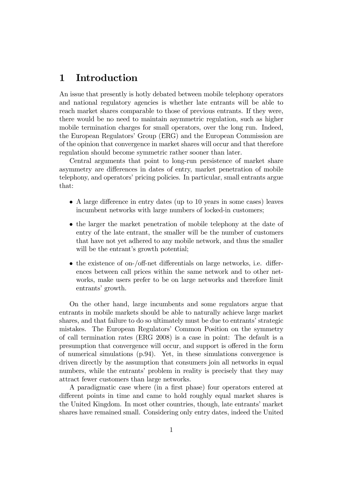## 1 Introduction

An issue that presently is hotly debated between mobile telephony operators and national regulatory agencies is whether late entrants will be able to reach market shares comparable to those of previous entrants. If they were, there would be no need to maintain asymmetric regulation, such as higher mobile termination charges for small operators, over the long run. Indeed, the European Regulators' Group (ERG) and the European Commission are of the opinion that convergence in market shares will occur and that therefore regulation should become symmetric rather sooner than later.

Central arguments that point to long-run persistence of market share asymmetry are differences in dates of entry, market penetration of mobile telephony, and operators' pricing policies. In particular, small entrants argue that:

- A large difference in entry dates (up to 10 years in some cases) leaves incumbent networks with large numbers of locked-in customers;
- the larger the market penetration of mobile telephony at the date of entry of the late entrant, the smaller will be the number of customers that have not yet adhered to any mobile network, and thus the smaller will be the entrant's growth potential;
- the existence of on-/off-net differentials on large networks, i.e. differences between call prices within the same network and to other networks, make users prefer to be on large networks and therefore limit entrants' growth.

On the other hand, large incumbents and some regulators argue that entrants in mobile markets should be able to naturally achieve large market shares, and that failure to do so ultimately must be due to entrants' strategic mistakes. The European Regulators' Common Position on the symmetry of call termination rates (ERG 2008) is a case in point: The default is a presumption that convergence will occur, and support is offered in the form of numerical simulations (p.94). Yet, in these simulations convergence is driven directly by the assumption that consumers join all networks in equal numbers, while the entrants' problem in reality is precisely that they may attract fewer customers than large networks.

A paradigmatic case where (in a first phase) four operators entered at different points in time and came to hold roughly equal market shares is the United Kingdom. In most other countries, though, late entrants' market shares have remained small. Considering only entry dates, indeed the United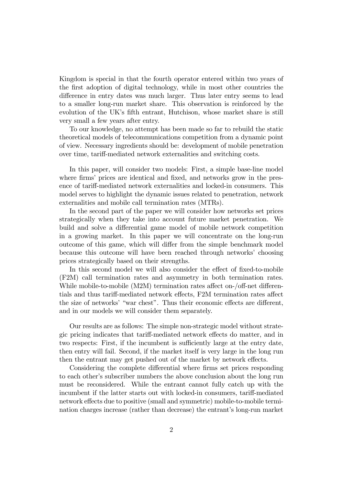Kingdom is special in that the fourth operator entered within two years of the first adoption of digital technology, while in most other countries the difference in entry dates was much larger. Thus later entry seems to lead to a smaller long-run market share. This observation is reinforced by the evolution of the UK's fifth entrant, Hutchison, whose market share is still very small a few years after entry.

To our knowledge, no attempt has been made so far to rebuild the static theoretical models of telecommunications competition from a dynamic point of view. Necessary ingredients should be: development of mobile penetration over time, tariff-mediated network externalities and switching costs.

In this paper, will consider two models: First, a simple base-line model where firms' prices are identical and fixed, and networks grow in the presence of tariff-mediated network externalities and locked-in consumers. This model serves to highlight the dynamic issues related to penetration, network externalities and mobile call termination rates (MTRs).

In the second part of the paper we will consider how networks set prices strategically when they take into account future market penetration. We build and solve a differential game model of mobile network competition in a growing market. In this paper we will concentrate on the long-run outcome of this game, which will differ from the simple benchmark model because this outcome will have been reached through networks' choosing prices strategically based on their strengths.

In this second model we will also consider the effect of fixed-to-mobile (F2M) call termination rates and asymmetry in both termination rates. While mobile-to-mobile (M2M) termination rates affect on-/off-net differentials and thus tariff-mediated network effects, F2M termination rates affect the size of networks' "war chest". Thus their economic effects are different, and in our models we will consider them separately.

Our results are as follows: The simple non-strategic model without strategic pricing indicates that tariff-mediated network effects do matter, and in two respects: First, if the incumbent is sufficiently large at the entry date, then entry will fail. Second, if the market itself is very large in the long run then the entrant may get pushed out of the market by network effects.

Considering the complete differential where firms set prices responding to each other's subscriber numbers the above conclusion about the long run must be reconsidered. While the entrant cannot fully catch up with the incumbent if the latter starts out with locked-in consumers, tariff-mediated network effects due to positive (small and symmetric) mobile-to-mobile termination charges increase (rather than decrease) the entrant's long-run market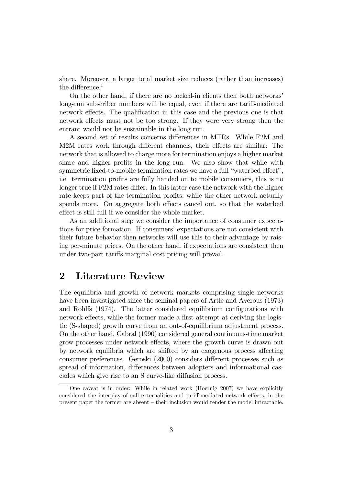share. Moreover, a larger total market size reduces (rather than increases) the difference. $<sup>1</sup>$ </sup>

On the other hand, if there are no locked-in clients then both networks' long-run subscriber numbers will be equal, even if there are tariff-mediated network effects. The qualification in this case and the previous one is that network effects must not be too strong. If they were very strong then the entrant would not be sustainable in the long run.

A second set of results concerns differences in MTRs. While F2M and M2M rates work through different channels, their effects are similar: The network that is allowed to charge more for termination enjoys a higher market share and higher profits in the long run. We also show that while with symmetric fixed-to-mobile termination rates we have a full "waterbed effect", i.e. termination profits are fully handed on to mobile consumers, this is no longer true if F2M rates differ. In this latter case the network with the higher rate keeps part of the termination profits, while the other network actually spends more. On aggregate both effects cancel out, so that the waterbed effect is still full if we consider the whole market.

As an additional step we consider the importance of consumer expectations for price formation. If consumers' expectations are not consistent with their future behavior then networks will use this to their advantage by raising per-minute prices. On the other hand, if expectations are consistent then under two-part tariffs marginal cost pricing will prevail.

## 2 Literature Review

The equilibria and growth of network markets comprising single networks have been investigated since the seminal papers of Artle and Averous (1973) and Rohlfs (1974). The latter considered equilibrium configurations with network effects, while the former made a first attempt at deriving the logistic (S-shaped) growth curve from an out-of-equilibrium adjustment process. On the other hand, Cabral (1990) considered general continuous-time market grow processes under network effects, where the growth curve is drawn out by network equilibria which are shifted by an exogenous process affecting consumer preferences. Geroski (2000) considers different processes such as spread of information, differences between adopters and informational cascades which give rise to an S curve-like diffusion process.

<sup>&</sup>lt;sup>1</sup>One caveat is in order: While in related work (Hoernig 2007) we have explicitly considered the interplay of call externalities and tariff-mediated network effects, in the present paper the former are absent — their inclusion would render the model intractable.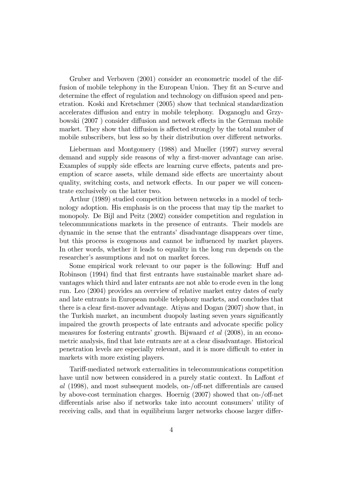Gruber and Verboven (2001) consider an econometric model of the diffusion of mobile telephony in the European Union. They fit an S-curve and determine the effect of regulation and technology on diffusion speed and penetration. Koski and Kretschmer (2005) show that technical standardization accelerates diffusion and entry in mobile telephony. Doganoglu and Grzybowski (2007 ) consider diffusion and network effects in the German mobile market. They show that diffusion is affected strongly by the total number of mobile subscribers, but less so by their distribution over different networks.

Lieberman and Montgomery (1988) and Mueller (1997) survey several demand and supply side reasons of why a first-mover advantage can arise. Examples of supply side effects are learning curve effects, patents and preemption of scarce assets, while demand side effects are uncertainty about quality, switching costs, and network effects. In our paper we will concentrate exclusively on the latter two.

Arthur (1989) studied competition between networks in a model of technology adoption. His emphasis is on the process that may tip the market to monopoly. De Bijl and Peitz (2002) consider competition and regulation in telecommunications markets in the presence of entrants. Their models are dynamic in the sense that the entrants' disadvantage disappears over time, but this process is exogenous and cannot be influenced by market players. In other words, whether it leads to equality in the long run depends on the researcher's assumptions and not on market forces.

Some empirical work relevant to our paper is the following: Huff and Robinson (1994) find that first entrants have sustainable market share advantages which third and later entrants are not able to erode even in the long run. Leo (2004) provides an overview of relative market entry dates of early and late entrants in European mobile telephony markets, and concludes that there is a clear first-mover advantage. Atiyas and Dogan (2007) show that, in the Turkish market, an incumbent duopoly lasting seven years significantly impaired the growth prospects of late entrants and advocate specific policy measures for fostering entrants' growth. Bijwaard et al (2008), in an econometric analysis, find that late entrants are at a clear disadvantage. Historical penetration levels are especially relevant, and it is more difficult to enter in markets with more existing players.

Tariff-mediated network externalities in telecommunications competition have until now between considered in a purely static context. In Laffont *et* al (1998), and most subsequent models, on-/off-net differentials are caused by above-cost termination charges. Hoernig (2007) showed that on-/off-net differentials arise also if networks take into account consumers' utility of receiving calls, and that in equilibrium larger networks choose larger differ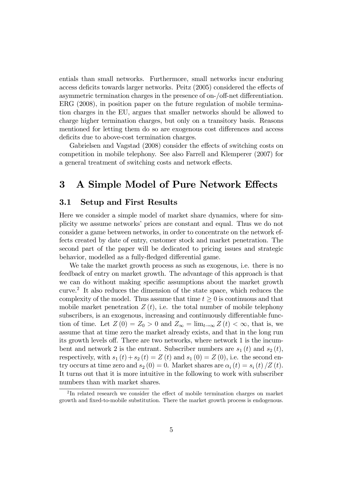entials than small networks. Furthermore, small networks incur enduring access deficits towards larger networks. Peitz (2005) considered the effects of asymmetric termination charges in the presence of on-/off-net differentiation. ERG (2008), in position paper on the future regulation of mobile termination charges in the EU, argues that smaller networks should be allowed to charge higher termination charges, but only on a transitory basis. Reasons mentioned for letting them do so are exogenous cost differences and access deficits due to above-cost termination charges.

Gabrielsen and Vagstad (2008) consider the effects of switching costs on competition in mobile telephony. See also Farrell and Klemperer (2007) for a general treatment of switching costs and network effects.

# 3 A Simple Model of Pure Network Effects

### 3.1 Setup and First Results

Here we consider a simple model of market share dynamics, where for simplicity we assume networks' prices are constant and equal. Thus we do not consider a game between networks, in order to concentrate on the network effects created by date of entry, customer stock and market penetration. The second part of the paper will be dedicated to pricing issues and strategic behavior, modelled as a fully-fledged differential game.

We take the market growth process as such as exogenous, i.e. there is no feedback of entry on market growth. The advantage of this approach is that we can do without making specific assumptions about the market growth curve.<sup>2</sup> It also reduces the dimension of the state space, which reduces the complexity of the model. Thus assume that time  $t \geq 0$  is continuous and that mobile market penetration  $Z(t)$ , i.e. the total number of mobile telephony subscribers, is an exogenous, increasing and continuously differentiable function of time. Let  $Z(0) = Z_0 > 0$  and  $Z_\infty = \lim_{t \to \infty} Z(t) < \infty$ , that is, we assume that at time zero the market already exists, and that in the long run its growth levels off. There are two networks, where network 1 is the incumbent and network 2 is the entrant. Subscriber numbers are  $s_1(t)$  and  $s_2(t)$ , respectively, with  $s_1(t) + s_2(t) = Z(t)$  and  $s_1(0) = Z(0)$ , i.e. the second entry occurs at time zero and  $s_2(0) = 0$ . Market shares are  $\alpha_i(t) = s_i(t)/Z(t)$ . It turns out that it is more intuitive in the following to work with subscriber numbers than with market shares.

<sup>2</sup> In related research we consider the effect of mobile termination charges on market growth and fixed-to-mobile substitution. There the market growth process is endogenous.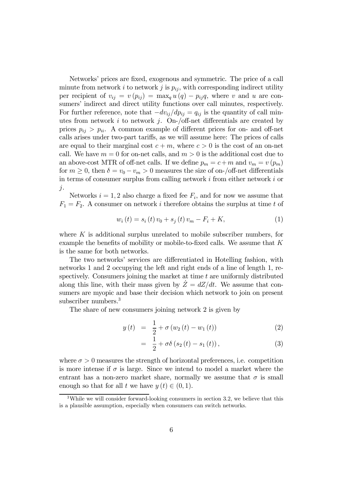Networks' prices are fixed, exogenous and symmetric. The price of a call minute from network i to network j is  $p_{ij}$ , with corresponding indirect utility per recipient of  $v_{ij} = v(p_{ij}) = \max_q u(q) - p_{ij}q$ , where v and u are consumers' indirect and direct utility functions over call minutes, respectively. For further reference, note that  $-dv_{ij}/dp_{ij} = q_{ij}$  is the quantity of call minutes from network i to network j. On-/off-net differentials are created by prices  $p_{ij} > p_{ii}$ . A common example of different prices for on- and off-net calls arises under two-part tariffs, as we will assume here: The prices of calls are equal to their marginal cost  $c + m$ , where  $c > 0$  is the cost of an on-net call. We have  $m = 0$  for on-net calls, and  $m > 0$  is the additional cost due to an above-cost MTR of off-net calls. If we define  $p_m = c + m$  and  $v_m = v(p_m)$ for  $m \geq 0$ , then  $\delta = v_0 - v_m > 0$  measures the size of on-/off-net differentials in terms of consumer surplus from calling network  $i$  from either network  $i$  or j.

Networks  $i = 1, 2$  also charge a fixed fee  $F_i$ , and for now we assume that  $F_1 = F_2$ . A consumer on network *i* therefore obtains the surplus at time *t* of

$$
w_i(t) = s_i(t)v_0 + s_j(t)v_m - F_i + K,
$$
\n(1)

where  $K$  is additional surplus unrelated to mobile subscriber numbers, for example the benefits of mobility or mobile-to-fixed calls. We assume that  $K$ is the same for both networks.

The two networks' services are differentiated in Hotelling fashion, with networks 1 and 2 occupying the left and right ends of a line of length 1, respectively. Consumers joining the market at time  $t$  are uniformly distributed along this line, with their mass given by  $Z = dZ/dt$ . We assume that consumers are myopic and base their decision which network to join on present subscriber numbers.<sup>3</sup>

The share of new consumers joining network 2 is given by

$$
y(t) = \frac{1}{2} + \sigma (w_2(t) - w_1(t)) \tag{2}
$$

$$
= \frac{1}{2} + \sigma \delta \left( s_2 \left( t \right) - s_1 \left( t \right) \right), \tag{3}
$$

where  $\sigma > 0$  measures the strength of horizontal preferences, i.e. competition is more intense if  $\sigma$  is large. Since we intend to model a market where the entrant has a non-zero market share, normally we assume that  $\sigma$  is small enough so that for all t we have  $y(t) \in (0,1)$ .

<sup>&</sup>lt;sup>3</sup>While we will consider forward-looking consumers in section 3.2, we believe that this is a plausible assumption, especially when consumers can switch networks.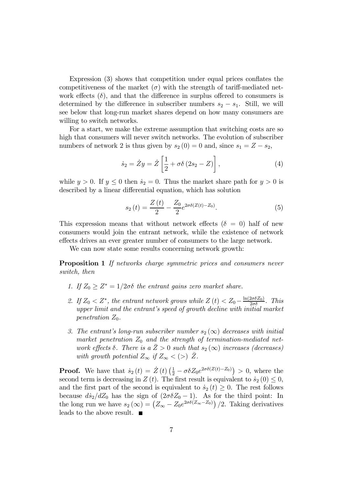Expression (3) shows that competition under equal prices conflates the competitiveness of the market  $(\sigma)$  with the strength of tariff-mediated network effects  $(\delta)$ , and that the difference in surplus offered to consumers is determined by the difference in subscriber numbers  $s_2 - s_1$ . Still, we will see below that long-run market shares depend on how many consumers are willing to switch networks.

For a start, we make the extreme assumption that switching costs are so high that consumers will never switch networks. The evolution of subscriber numbers of network 2 is thus given by  $s_2(0) = 0$  and, since  $s_1 = Z - s_2$ ,

$$
\dot{s}_2 = \dot{Z}y = \dot{Z}\left[\frac{1}{2} + \sigma\delta\left(2s_2 - Z\right)\right],\tag{4}
$$

while  $y > 0$ . If  $y \le 0$  then  $\dot{s}_2 = 0$ . Thus the market share path for  $y > 0$  is described by a linear differential equation, which has solution

$$
s_2(t) = \frac{Z(t)}{2} - \frac{Z_0}{2} e^{2\sigma \delta(Z(t) - Z_0)}.
$$
 (5)

This expression means that without network effects ( $\delta = 0$ ) half of new consumers would join the entrant network, while the existence of network effects drives an ever greater number of consumers to the large network.

We can now state some results concerning network growth:

Proposition 1 If networks charge symmetric prices and consumers never switch, then

- 1. If  $Z_0 \geq Z^* = 1/2\sigma\delta$  the entrant gains zero market share.
- 2. If  $Z_0 < Z^*$ , the entrant network grows while  $Z(t) < Z_0 \frac{\ln(2\sigma \delta Z_0)}{2\sigma \delta}$ . This upper limit and the entrant's speed of growth decline with initial market penetration  $Z_0$ .
- 3. The entrant's long-run subscriber number  $s_2(\infty)$  decreases with initial market penetration  $Z_0$  and the strength of termination-mediated network effects  $\delta$ . There is a  $\bar{Z} > 0$  such that  $s_2 (\infty)$  increases (decreases) with growth potential  $Z_{\infty}$  if  $Z_{\infty}$  < (>)  $\overline{Z}$ .

**Proof.** We have that  $\dot{s}_2(t) = \dot{Z}(t) \left(\frac{1}{2} - \sigma \delta Z_0 e^{2\sigma \delta(Z(t) - Z_0)}\right) > 0$ , where the second term is decreasing in Z (t). The first result is equivalent to  $\dot{s}_2(0) \leq 0$ , and the first part of the second is equivalent to  $\dot{s}_2(t) \geq 0$ . The rest follows because  $d\dot{s}_2/dZ_0$  has the sign of  $(2\sigma \delta Z_0 - 1)$ . As for the third point: In the long run we have  $s_2(\infty) = (Z_\infty - Z_0 e^{2\sigma \delta(Z_\infty - Z_0)})/2$ . Taking derivatives leads to the above result.  $\blacksquare$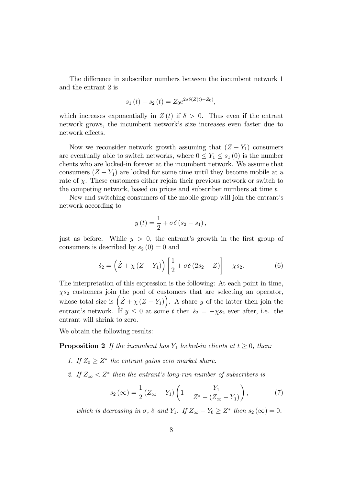The difference in subscriber numbers between the incumbent network 1 and the entrant 2 is

$$
s_1(t) - s_2(t) = Z_0 e^{2\sigma \delta(Z(t) - Z_0)},
$$

which increases exponentially in  $Z(t)$  if  $\delta > 0$ . Thus even if the entrant network grows, the incumbent network's size increases even faster due to network effects.

Now we reconsider network growth assuming that  $(Z - Y_1)$  consumers are eventually able to switch networks, where  $0 \le Y_1 \le s_1(0)$  is the number clients who are locked-in forever at the incumbent network. We assume that consumers  $(Z - Y_1)$  are locked for some time until they become mobile at a rate of  $\chi$ . These customers either rejoin their previous network or switch to the competing network, based on prices and subscriber numbers at time t.

New and switching consumers of the mobile group will join the entrant's network according to

$$
y(t) = \frac{1}{2} + \sigma \delta (s_2 - s_1),
$$

just as before. While  $y > 0$ , the entrant's growth in the first group of consumers is described by  $s_2(0) = 0$  and

$$
\dot{s}_2 = (\dot{Z} + \chi (Z - Y_1)) \left[ \frac{1}{2} + \sigma \delta (2s_2 - Z) \right] - \chi s_2.
$$
 (6)

The interpretation of this expression is the following: At each point in time,  $\chi s_2$  customers join the pool of customers that are selecting an operator, whose total size is  $(Z + \chi (Z - Y_1))$ . A share y of the latter then join the entrant's network. If  $y \leq 0$  at some t then  $\dot{s}_2 = -\chi s_2$  ever after, i.e. the entrant will shrink to zero.

We obtain the following results:

**Proposition 2** If the incumbent has  $Y_1$  locked-in clients at  $t \geq 0$ , then:

- 1. If  $Z_0 \geq Z^*$  the entrant gains zero market share.
- 2. If  $Z_{\infty} < Z^*$  then the entrant's long-run number of subscribers is

$$
s_2(\infty) = \frac{1}{2} (Z_{\infty} - Y_1) \left( 1 - \frac{Y_1}{Z^* - (Z_{\infty} - Y_1)} \right),
$$
 (7)

which is decreasing in  $\sigma$ ,  $\delta$  and  $Y_1$ . If  $Z_{\infty} - Y_0 \geq Z^*$  then  $s_2(\infty) = 0$ .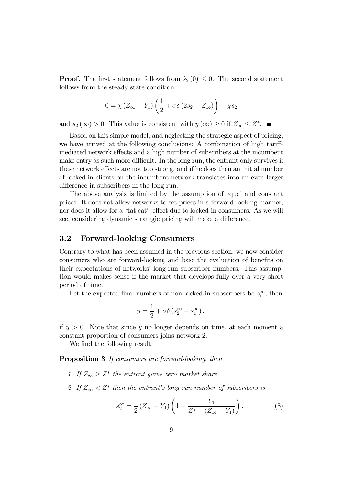**Proof.** The first statement follows from  $\dot{s}_2(0) \leq 0$ . The second statement follows from the steady state condition

$$
0 = \chi (Z_{\infty} - Y_1) \left( \frac{1}{2} + \sigma \delta (2s_2 - Z_{\infty}) \right) - \chi s_2
$$

and  $s_2(\infty) > 0$ . This value is consistent with  $y(\infty) \geq 0$  if  $Z_\infty \leq Z^*$ .

Based on this simple model, and neglecting the strategic aspect of pricing, we have arrived at the following conclusions: A combination of high tariffmediated network effects and a high number of subscribers at the incumbent make entry as such more difficult. In the long run, the entrant only survives if these network effects are not too strong, and if he does then an initial number of locked-in clients on the incumbent network translates into an even larger difference in subscribers in the long run.

The above analysis is limited by the assumption of equal and constant prices. It does not allow networks to set prices in a forward-looking manner, nor does it allow for a "fat cat"-effect due to locked-in consumers. As we will see, considering dynamic strategic pricing will make a difference.

### 3.2 Forward-looking Consumers

Contrary to what has been assumed in the previous section, we now consider consumers who are forward-looking and base the evaluation of benefits on their expectations of networks' long-run subscriber numbers. This assumption would makes sense if the market that develops fully over a very short period of time.

Let the expected final numbers of non-locked-in subscribers be  $s_i^{\infty}$  $\sum_{i}^{\infty}$ , then

$$
y = \frac{1}{2} + \sigma \delta \left( s_2^{\infty} - s_1^{\infty} \right),
$$

if  $y > 0$ . Note that since y no longer depends on time, at each moment a constant proportion of consumers joins network 2.

We find the following result:

Proposition 3 If consumers are forward-looking, then

- 1. If  $Z_{\infty} \geq Z^*$  the entrant gains zero market share.
- 2. If  $Z_{\infty} < Z^*$  then the entrant's long-run number of subscribers is

$$
s_2^{\infty} = \frac{1}{2} (Z_{\infty} - Y_1) \left( 1 - \frac{Y_1}{Z^* - (Z_{\infty} - Y_1)} \right). \tag{8}
$$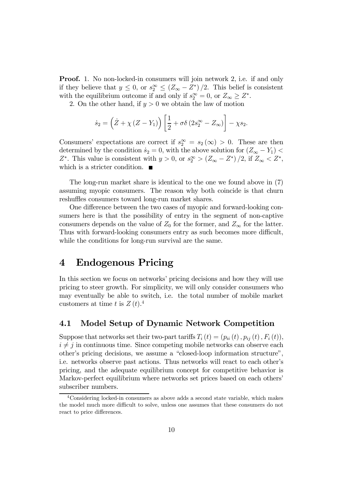**Proof.** 1. No non-locked-in consumers will join network 2, i.e. if and only if they believe that  $y \leq 0$ , or  $s_2^{\infty} \leq (Z_{\infty} - Z^*)/2$ . This belief is consistent with the equilibrium outcome if and only if  $s_2^{\infty} = 0$ , or  $Z_{\infty} \geq Z^*$ .

2. On the other hand, if  $y > 0$  we obtain the law of motion

$$
\dot{s}_2 = (\dot{Z} + \chi (Z - Y_1)) \left[ \frac{1}{2} + \sigma \delta (2s_2^{\infty} - Z_{\infty}) \right] - \chi s_2.
$$

Consumers' expectations are correct if  $s_2^{\infty} = s_2(\infty) > 0$ . These are then determined by the condition  $\dot{s}_2 = 0$ , with the above solution for  $(Z_{\infty} - Y_1)$ Z<sup>\*</sup>. This value is consistent with  $y > 0$ , or  $s_2^{\infty} > (Z_{\infty} - Z^*)/2$ , if  $Z_{\infty} < Z^*$ , which is a stricter condition.  $\blacksquare$ 

The long-run market share is identical to the one we found above in (7) assuming myopic consumers. The reason why both coincide is that churn reshuffles consumers toward long-run market shares.

One difference between the two cases of myopic and forward-looking consumers here is that the possibility of entry in the segment of non-captive consumers depends on the value of  $Z_0$  for the former, and  $Z_{\infty}$  for the latter. Thus with forward-looking consumers entry as such becomes more difficult, while the conditions for long-run survival are the same.

## 4 Endogenous Pricing

In this section we focus on networks' pricing decisions and how they will use pricing to steer growth. For simplicity, we will only consider consumers who may eventually be able to switch, i.e. the total number of mobile market customers at time t is  $Z(t)$ .<sup>4</sup>

### 4.1 Model Setup of Dynamic Network Competition

Suppose that networks set their two-part tariffs  $T_i(t) = (p_{ii}(t), p_{ij}(t), F_i(t)),$  $i \neq j$  in continuous time. Since competing mobile networks can observe each other's pricing decisions, we assume a "closed-loop information structure", i.e. networks observe past actions. Thus networks will react to each other's pricing, and the adequate equilibrium concept for competitive behavior is Markov-perfect equilibrium where networks set prices based on each others' subscriber numbers.

<sup>4</sup>Considering locked-in consumers as above adds a second state variable, which makes the model much more difficult to solve, unless one assumes that these consumers do not react to price differences.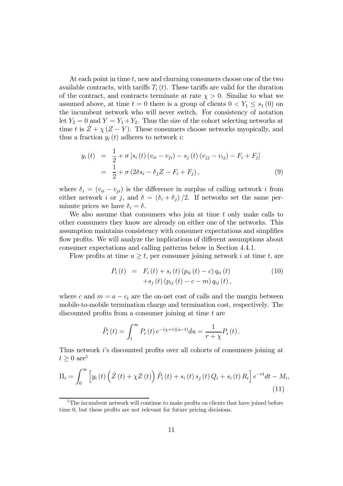At each point in time  $t$ , new and churning consumers choose one of the two available contracts, with tariffs  $T_i(t)$ . These tariffs are valid for the duration of the contract, and contracts terminate at rate  $\chi > 0$ . Similar to what we assumed above, at time  $t = 0$  there is a group of clients  $0 < Y_1 \leq s_1(0)$  on the incumbent network who will never switch. For consistency of notation let  $Y_2 = 0$  and  $Y = Y_1 + Y_2$ . Thus the size of the cohort selecting networks at time t is  $Z + \chi (Z - Y)$ . These consumers choose networks myopically, and thus a fraction  $y_i(t)$  adheres to network *i*:

$$
y_i(t) = \frac{1}{2} + \sigma [s_i(t) (v_{ii} - v_{ji}) - s_j(t) (v_{jj} - v_{ij}) - F_i + F_j]
$$
  
=  $\frac{1}{2} + \sigma (2\delta s_i - \delta_j Z - F_i + F_j),$  (9)

where  $\delta_i = (v_{ii} - v_{ii})$  is the difference in surplus of calling network i from either network i or j, and  $\delta = (\delta_i + \delta_j)/2$ . If networks set the same perminute prices we have  $\delta_i = \delta$ .

We also assume that consumers who join at time  $t$  only make calls to other consumers they know are already on either one of the networks. This assumption maintains consistency with consumer expectations and simplifies flow profits. We will analyze the implications of different assumptions about consumer expectations and calling patterns below in Section 4.4.1.

Flow profits at time  $u \geq t$ , per consumer joining network i at time t, are

$$
P_i(t) = F_i(t) + s_i(t) (p_{ii}(t) - c) q_{ii}(t) + s_j(t) (p_{ij}(t) - c - m) q_{ij}(t),
$$
\n(10)

where c and  $m = a - c_t$  are the on-net cost of calls and the margin between mobile-to-mobile termination charge and termination cost, respectively. The discounted profits from a consumer joining at time t are

$$
\tilde{P}_i(t) = \int_t^{\infty} P_i(t) e^{-(\chi + r)(u - t)} du = \frac{1}{r + \chi} P_i(t).
$$

Thus network i's discounted profits over all cohorts of consumers joining at  $t \geq 0$  are<sup>5</sup>

$$
\Pi_{i} = \int_{0}^{\infty} \left[ y_{i}\left(t\right) \left(\dot{Z}\left(t\right) + \chi Z\left(t\right)\right) \tilde{P}_{i}\left(t\right) + s_{i}\left(t\right) s_{j}\left(t\right) Q_{i} + s_{i}\left(t\right) R_{i} \right] e^{-rt} dt - M_{i},\tag{11}
$$

<sup>&</sup>lt;sup>5</sup>The incumbent network will continue to make profits on clients that have joined before time 0, but these profits are not relevant for future pricing decisions.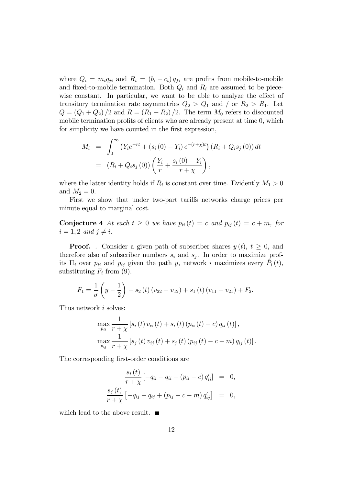where  $Q_i = m_i q_{ji}$  and  $R_i = (b_i - c_i) q_{fi}$  are profits from mobile-to-mobile and fixed-to-mobile termination. Both  $Q_i$  and  $R_i$  are assumed to be piecewise constant. In particular, we want to be able to analyze the effect of transitory termination rate asymmetries  $Q_2 > Q_1$  and / or  $R_2 > R_1$ . Let  $Q = (Q_1 + Q_2)/2$  and  $R = (R_1 + R_2)/2$ . The term  $M_0$  refers to discounted mobile termination profits of clients who are already present at time 0, which for simplicity we have counted in the first expression,

$$
M_i = \int_0^\infty \left(Y_i e^{-rt} + (s_i(0) - Y_i) e^{-(r+\chi)t}\right) (R_i + Q_i s_j(0)) dt
$$
  
=  $(R_i + Q_i s_j(0)) \left(\frac{Y_i}{r} + \frac{s_i(0) - Y_i}{r + \chi}\right),$ 

where the latter identity holds if  $R_i$  is constant over time. Evidently  $M_1 > 0$ and  $M_2 = 0$ .

First we show that under two-part tariffs networks charge prices per minute equal to marginal cost.

**Conjecture 4** At each  $t \geq 0$  we have  $p_{ii}(t) = c$  and  $p_{ij}(t) = c + m$ , for  $i = 1, 2 \text{ and } j \neq i$ .

**Proof.** . Consider a given path of subscriber shares  $y(t)$ ,  $t \geq 0$ , and therefore also of subscriber numbers  $s_i$  and  $s_j$ . In order to maximize profits  $\Pi_i$  over  $p_{ii}$  and  $p_{ij}$  given the path y, network i maximizes every  $\tilde{P}_i(t)$ , substituting  $F_i$  from (9).

$$
F_1 = \frac{1}{\sigma} \left( y - \frac{1}{2} \right) - s_2 \left( t \right) \left( v_{22} - v_{12} \right) + s_1 \left( t \right) \left( v_{11} - v_{21} \right) + F_2.
$$

Thus network *i* solves:

$$
\max_{p_{ii}} \frac{1}{r + \chi} \left[ s_i(t) \, v_{ii}(t) + s_i(t) \left( p_{ii}(t) - c \right) q_{ii}(t) \right],
$$
\n
$$
\max_{p_{ij}} \frac{1}{r + \chi} \left[ s_j(t) \, v_{ij}(t) + s_j(t) \left( p_{ij}(t) - c - m \right) q_{ij}(t) \right].
$$

The corresponding first-order conditions are

$$
\frac{s_i(t)}{r + \chi} [-q_{ii} + q_{ii} + (p_{ii} - c) q'_{ii}] = 0,
$$
  

$$
\frac{s_j(t)}{r + \chi} [-q_{ij} + q_{ij} + (p_{ij} - c - m) q'_{ij}] = 0,
$$

which lead to the above result.  $\blacksquare$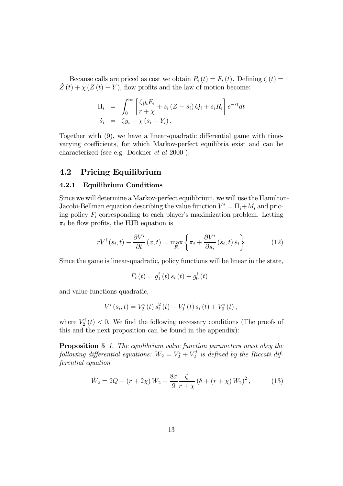Because calls are priced as cost we obtain  $P_i(t) = F_i(t)$ . Defining  $\zeta(t) =$  $Z(t) + \chi (Z(t) - Y)$ , flow profits and the law of motion become:

$$
\Pi_i = \int_0^\infty \left[ \frac{\zeta y_i F_i}{r + \chi} + s_i (Z - s_i) Q_i + s_i R_i \right] e^{-rt} dt
$$
  
\n
$$
\dot{s}_i = \zeta y_i - \chi (s_i - Y_i).
$$

Together with (9), we have a linear-quadratic differential game with timevarying coefficients, for which Markov-perfect equilibria exist and can be characterized (see e.g. Dockner et al 2000 ).

### 4.2 Pricing Equilibrium

#### 4.2.1 Equilibrium Conditions

Since we will determine a Markov-perfect equilibrium, we will use the Hamilton-Jacobi-Bellman equation describing the value function  $V^i = \Pi_i + M_i$  and pricing policy  $F_i$  corresponding to each player's maximization problem. Letting  $\pi_i$  be flow profits, the HJB equation is

$$
rV^{i}(s_{i},t) - \frac{\partial V^{i}}{\partial t}(x,t) = \max_{F_{i}} \left\{ \pi_{i} + \frac{\partial V^{i}}{\partial s_{i}}(s_{i},t) \,\dot{s}_{i} \right\} \tag{12}
$$

Since the game is linear-quadratic, policy functions will be linear in the state,

$$
F_{i}(t) = g_{1}^{i}(t) s_{i}(t) + g_{0}^{i}(t),
$$

and value functions quadratic,

$$
V^{i}(s_{i}, t) = V_{2}^{i}(t) s_{i}^{2}(t) + V_{1}^{i}(t) s_{i}(t) + V_{0}^{i}(t),
$$

where  $V_2^i(t) < 0$ . We find the following necessary conditions (The proofs of this and the next proposition can be found in the appendix):

Proposition 5 1. The equilibrium value function parameters must obey the following differential equations:  $W_2 = V_2^i + V_2^j$  $\mathcal{L}_2^j$  is defined by the Riccati differential equation

$$
\dot{W}_2 = 2Q + (r + 2\chi)W_2 - \frac{8\sigma}{9} \frac{\zeta}{r + \chi} (\delta + (r + \chi)W_2)^2, \tag{13}
$$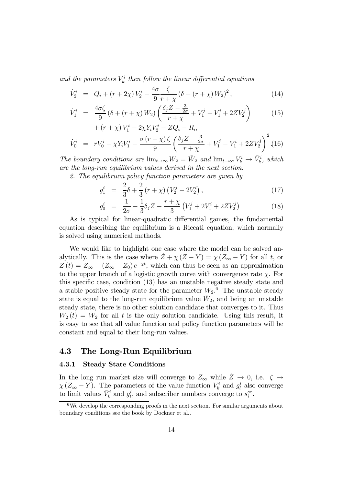and the parameters  $V_k^i$  then follow the linear differential equations

$$
\dot{V}_2^i = Q_i + (r + 2\chi) V_2^i - \frac{4\sigma}{9} \frac{\zeta}{r + \chi} (\delta + (r + \chi) W_2)^2, \tag{14}
$$

$$
\dot{V}_1^i = \frac{4\sigma\zeta}{9} (\delta + (r + \chi) W_2) \left( \frac{\delta_j Z - \frac{3}{2\sigma}}{r + \chi} + V_1^j - V_1^i + 2ZV_2^j \right) \tag{15}
$$
\n
$$
+ (r + \chi) V_1^i - 2\chi Y_i V_2^i - ZQ_i - R_i,
$$

$$
\dot{V}_0^i = rV_0^i - \chi Y_i V_1^i - \frac{\sigma (r + \chi) \zeta}{9} \left( \frac{\delta_j Z - \frac{3}{2\sigma}}{r + \chi} + V_1^j - V_1^i + 2Z V_2^j \right)^2 (16)
$$

The boundary conditions are  $\lim_{t\to\infty} W_2 = \bar{W}_2$  and  $\lim_{t\to\infty} V_k^i \to \bar{V}_k^i$ , which are the long-run equilibrium values derived in the next section.

2. The equilibrium policy function parameters are given by

$$
g_1^i = \frac{2}{3}\delta + \frac{2}{3}(r + \chi)\left(V_2^j - 2V_2^i\right),\tag{17}
$$

$$
g_0^i = \frac{1}{2\sigma} - \frac{1}{3}\delta_j Z - \frac{r + \chi}{3} \left( V_1^j + 2V_1^i + 2ZV_2^j \right). \tag{18}
$$

As is typical for linear-quadratic differential games, the fundamental equation describing the equilibrium is a Riccati equation, which normally is solved using numerical methods.

We would like to highlight one case where the model can be solved analytically. This is the case where  $\dot{Z} + \chi (Z - Y) = \chi (Z_{\infty} - Y)$  for all t, or  $Z(t) = Z_{\infty} - (Z_{\infty} - Z_0) e^{-\chi t}$ , which can thus be seen as an approximation to the upper branch of a logistic growth curve with convergence rate  $\chi$ . For this specific case, condition (13) has an unstable negative steady state and a stable positive steady state for the parameter  $W_2$ <sup>6</sup>. The unstable steady state is equal to the long-run equilibrium value  $\bar{W}_2$ , and being an unstable steady state, there is no other solution candidate that converges to it. Thus  $W_2(t) = \bar{W}_2$  for all t is the only solution candidate. Using this result, it is easy to see that all value function and policy function parameters will be constant and equal to their long-run values.

### 4.3 The Long-Run Equilibrium

#### 4.3.1 Steady State Conditions

In the long run market size will converge to  $Z_{\infty}$  while  $Z \to 0$ , i.e.  $\zeta \to$  $\chi$  ( $Z_{\infty} - Y$ ). The parameters of the value function  $V_k^i$  and  $g_l^i$  also converge to limit values  $\bar{V}_k^i$  and  $\bar{g}_l^i$ , and subscriber numbers converge to  $s_i^{\infty}$  $\frac{\infty}{i}$ .

 $6$ We develop the corresponding proofs in the next section. For similar arguments about boundary conditions see the book by Dockner et al..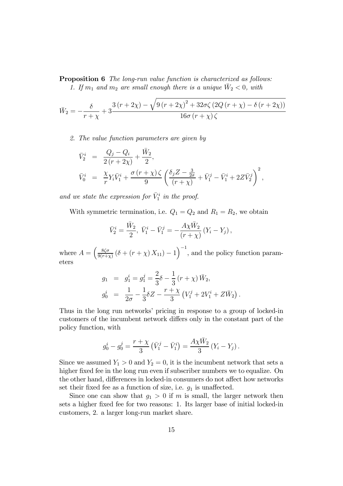**Proposition 6** The long-run value function is characterized as follows: 1. If  $m_1$  and  $m_2$  are small enough there is a unique  $\bar{W}_2 < 0$ , with

$$
\bar{W}_2 = -\frac{\delta}{r+\chi} + 3\frac{3\left(r+2\chi\right) - \sqrt{9\left(r+2\chi\right)^2 + 32\sigma\zeta\left(2Q\left(r+\chi\right) - \delta\left(r+2\chi\right)\right)}}{16\sigma\left(r+\chi\right)\zeta}
$$

2. The value function parameters are given by

$$
\begin{array}{rcl}\n\bar{V}_{2}^{i} & = & \frac{Q_{j} - Q_{i}}{2(r + 2\chi)} + \frac{\bar{W}_{2}}{2}, \\
\bar{V}_{0}^{i} & = & \frac{\chi}{r} Y_{i} \bar{V}_{1}^{i} + \frac{\sigma(r + \chi)\zeta}{9} \left( \frac{\delta_{j}Z - \frac{3}{2\sigma}}{(r + \chi)} + \bar{V}_{1}^{j} - \bar{V}_{1}^{i} + 2Z\bar{V}_{2}^{j} \right)^{2},\n\end{array}
$$

and we state the expression for  $\bar{V}_1^i$  in the proof.

With symmetric termination, i.e.  $Q_1 = Q_2$  and  $R_1 = R_2$ , we obtain

$$
\bar{V}_2^i = \frac{\bar{W}_2}{2}, \ \bar{V}_1^i - \bar{V}_1^j = -\frac{A\chi\bar{W}_2}{(r+\chi)}(Y_i - Y_j),
$$

where  $A = \left(\frac{8\zeta\sigma}{9(r+1)}\right)$  $\frac{8\zeta\sigma}{9(r+\chi)}$   $(\delta + (r+\chi) X_{11}) - 1$ , and the policy function parameters

$$
g_1 = g_1^i = g_1^j = \frac{2}{3}\delta - \frac{1}{3}(r + \chi)\bar{W}_2,
$$
  
\n
$$
g_0^i = \frac{1}{2\sigma} - \frac{1}{3}\delta Z - \frac{r + \chi}{3}(V_1^j + 2V_1^i + Z\bar{W}_2).
$$

Thus in the long run networks' pricing in response to a group of locked-in customers of the incumbent network differs only in the constant part of the policy function, with

$$
g_0^i - g_0^j = \frac{r + \chi}{3} \left( \bar{V}_1^j - \bar{V}_1^i \right) = \frac{A \chi \bar{W}_2}{3} \left( Y_i - Y_j \right).
$$

Since we assumed  $Y_1 > 0$  and  $Y_2 = 0$ , it is the incumbent network that sets a higher fixed fee in the long run even if subscriber numbers we to equalize. On the other hand, differences in locked-in consumers do not affect how networks set their fixed fee as a function of size, i.e.  $g_1$  is unaffected.

Since one can show that  $g_1 > 0$  if m is small, the larger network then sets a higher fixed fee for two reasons: 1. Its larger base of initial locked-in customers, 2. a larger long-run market share.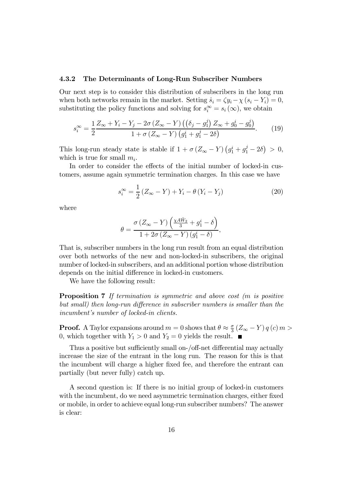#### 4.3.2 The Determinants of Long-Run Subscriber Numbers

Our next step is to consider this distribution of subscribers in the long run when both networks remain in the market. Setting  $\dot{s}_i = \zeta y_i - \chi (s_i - Y_i) = 0$ , substituting the policy functions and solving for  $s_i^{\infty} = s_i(\infty)$ , we obtain

$$
s_i^{\infty} = \frac{1}{2} \frac{Z_{\infty} + Y_i - Y_j - 2\sigma (Z_{\infty} - Y) \left( \left( \delta_j - g_1^j \right) Z_{\infty} + g_0^i - g_0^j \right)}{1 + \sigma (Z_{\infty} - Y) \left( g_1^i + g_1^j - 2\delta \right)}.
$$
 (19)

This long-run steady state is stable if  $1 + \sigma (Z_{\infty} - Y) (g_1^i + g_1^j - 2\delta) > 0$ , which is true for small  $m_i$ .

In order to consider the effects of the initial number of locked-in customers, assume again symmetric termination charges. In this case we have

$$
s_i^{\infty} = \frac{1}{2} \left( Z_{\infty} - Y \right) + Y_i - \theta \left( Y_i - Y_j \right) \tag{20}
$$

where

$$
\theta = \frac{\sigma (Z_{\infty} - Y) \left(\frac{\chi A \bar{W}_2}{3} + g_1^i - \delta\right)}{1 + 2\sigma (Z_{\infty} - Y) (g_1^i - \delta)},
$$

That is, subscriber numbers in the long run result from an equal distribution over both networks of the new and non-locked-in subscribers, the original number of locked-in subscribers, and an additional portion whose distribution depends on the initial difference in locked-in customers.

We have the following result:

Proposition 7 If termination is symmetric and above cost (m is positive but small) then long-run difference in subscriber numbers is smaller than the incumbent's number of locked-in clients.

**Proof.** A Taylor expansions around  $m = 0$  shows that  $\theta \approx \frac{\sigma}{3}$  $\frac{\sigma}{3}(Z_{\infty}-Y)q(c) m >$ 0, which together with  $Y_1 > 0$  and  $Y_2 = 0$  yields the result.  $\blacksquare$ 

Thus a positive but sufficiently small on-/off-net differential may actually increase the size of the entrant in the long run. The reason for this is that the incumbent will charge a higher fixed fee, and therefore the entrant can partially (but never fully) catch up.

A second question is: If there is no initial group of locked-in customers with the incumbent, do we need asymmetric termination charges, either fixed or mobile, in order to achieve equal long-run subscriber numbers? The answer is clear: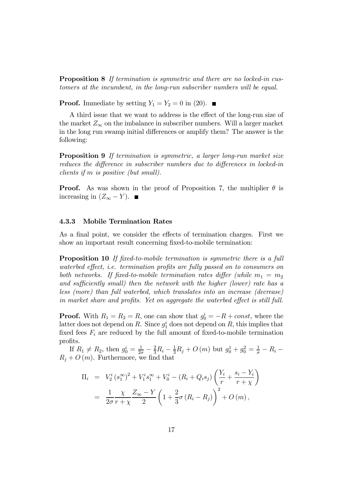**Proposition 8** If termination is symmetric and there are no locked-in customers at the incumbent, in the long-run subscriber numbers will be equal.

**Proof.** Immediate by setting  $Y_1 = Y_2 = 0$  in (20).

A third issue that we want to address is the effect of the long-run size of the market  $Z_{\infty}$  on the imbalance in subscriber numbers. Will a larger market in the long run swamp initial differences or amplify them? The answer is the following:

**Proposition 9** If termination is symmetric, a larger long-run market size reduces the difference in subscriber numbers due to differences in locked-in clients if m is positive (but small).

**Proof.** As was shown in the proof of Proposition 7, the multiplier  $\theta$  is increasing in  $(Z_{\infty} - Y)$ . ■

#### 4.3.3 Mobile Termination Rates

As a final point, we consider the effects of termination charges. First we show an important result concerning fixed-to-mobile termination:

**Proposition 10** If fixed-to-mobile termination is symmetric there is a full waterbed effect, i.e. termination profits are fully passed on to consumers on both networks. If fixed-to-mobile termination rates differ (while  $m_1 = m_2$ ) and sufficiently small) then the network with the higher (lower) rate has a less (more) than full waterbed, which translates into an increase (decrease) in market share and profits. Yet on aggregate the waterbed effect is still full.

**Proof.** With  $R_1 = R_2 = R$ , one can show that  $g_0^i = -R + const$ , where the latter does not depend on R. Since  $g_1^i$  does not depend on R, this implies that fixed fees  $F_i$  are reduced by the full amount of fixed-to-mobile termination profits.

If  $R_1 \neq R_2$ , then  $g_0^i = \frac{1}{2\sigma} - \frac{2}{3}R_i - \frac{1}{3}R_j + O(m)$  but  $g_0^1 + g_0^2 = \frac{1}{\sigma} - R_i R_j + O(m)$ . Furthermore, we find that

$$
\Pi_{i} = V_{2}^{i} (s_{1}^{\infty})^{2} + V_{1}^{i} s_{1}^{\infty} + V_{0}^{i} - (R_{i} + Q_{i} s_{j}) \left(\frac{Y_{i}}{r} + \frac{s_{i} - Y_{i}}{r + \chi}\right)
$$
  
= 
$$
\frac{1}{2\sigma} \frac{\chi}{r + \chi} \frac{Z_{\infty} - Y}{2} \left(1 + \frac{2}{3}\sigma (R_{i} - R_{j})\right)^{2} + O(m),
$$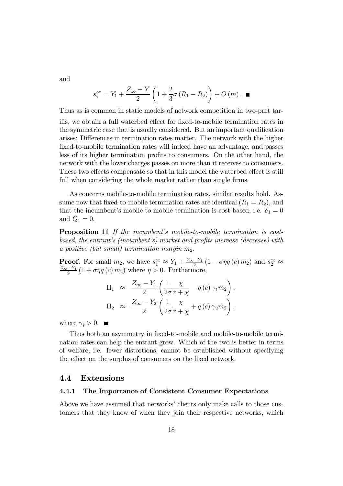and

$$
s_i^{\infty} = Y_1 + \frac{Z_{\infty} - Y}{2} \left( 1 + \frac{2}{3} \sigma (R_1 - R_2) \right) + O(m) . \quad \blacksquare
$$

Thus as is common in static models of network competition in two-part tariffs, we obtain a full waterbed effect for fixed-to-mobile termination rates in the symmetric case that is usually considered. But an important qualification arises: Differences in termination rates matter. The network with the higher fixed-to-mobile termination rates will indeed have an advantage, and passes less of its higher termination profits to consumers. On the other hand, the network with the lower charges passes on more than it receives to consumers. These two effects compensate so that in this model the waterbed effect is still full when considering the whole market rather than single firms.

As concerns mobile-to-mobile termination rates, similar results hold. Assume now that fixed-to-mobile termination rates are identical  $(R_1 = R_2)$ , and that the incumbent's mobile-to-mobile termination is cost-based, i.e.  $\delta_1 = 0$ and  $Q_1 = 0$ .

Proposition 11 If the incumbent's mobile-to-mobile termination is costbased, the entrant's (incumbent's) market and profits increase (decrease) with a positive (but small) termination margin  $m_2$ .

**Proof.** For small  $m_2$ , we have  $s_1^{\infty} \approx Y_1 + \frac{Z_{\infty} - Y_1}{2}$ **Proof.** For small  $m_2$ , we have  $s_1^{\infty} \approx Y_1 + \frac{Z_{\infty} - Y_1}{2} (1 - \sigma \eta q(c) m_2)$  and  $s_2^{\infty} \approx \frac{Z_{\infty} - Y_1}{2} (1 + \sigma \eta q(c) m_2)$  where  $n > 0$ . Furthermore  $\frac{(-Y_1)}{2}(1+\sigma\eta q\,(c)\,m_2)$  where  $\eta>0$ . Furthermore,

$$
\Pi_{1} \approx \frac{Z_{\infty} - Y_{1}}{2} \left( \frac{1}{2\sigma} \frac{\chi}{r + \chi} - q(c) \gamma_{1} m_{2} \right),
$$
  

$$
\Pi_{2} \approx \frac{Z_{\infty} - Y_{2}}{2} \left( \frac{1}{2\sigma} \frac{\chi}{r + \chi} + q(c) \gamma_{2} m_{2} \right),
$$

where  $\gamma_i > 0$ .

Thus both an asymmetry in fixed-to-mobile and mobile-to-mobile termination rates can help the entrant grow. Which of the two is better in terms of welfare, i.e. fewer distortions, cannot be established without specifying the effect on the surplus of consumers on the fixed network.

### 4.4 Extensions

#### 4.4.1 The Importance of Consistent Consumer Expectations

Above we have assumed that networks' clients only make calls to those customers that they know of when they join their respective networks, which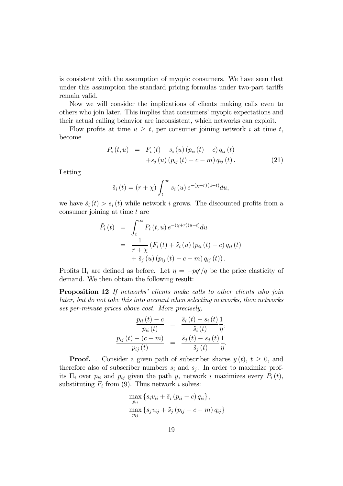is consistent with the assumption of myopic consumers. We have seen that under this assumption the standard pricing formulas under two-part tariffs remain valid.

Now we will consider the implications of clients making calls even to others who join later. This implies that consumers' myopic expectations and their actual calling behavior are inconsistent, which networks can exploit.

Flow profits at time  $u \geq t$ , per consumer joining network i at time t, become

$$
P_i(t, u) = F_i(t) + s_i(u) (p_{ii}(t) - c) q_{ii}(t) + s_j(u) (p_{ij}(t) - c - m) q_{ij}(t).
$$
 (21)

Letting

$$
\tilde{s}_i(t) = (r + \chi) \int_t^{\infty} s_i(u) e^{-(\chi + r)(u - t)} du,
$$

we have  $\tilde{s}_i(t) > s_i(t)$  while network i grows. The discounted profits from a consumer joining at time  $t$  are

$$
\tilde{P}_i(t) = \int_t^{\infty} P_i(t, u) e^{-(\chi + r)(u - t)} du \n= \frac{1}{r + \chi} (F_i(t) + \tilde{s}_i(u) (p_{ii}(t) - c) q_{ii}(t) \n+ \tilde{s}_j(u) (p_{ij}(t) - c - m) q_{ij}(t)).
$$

Profits  $\Pi_i$  are defined as before. Let  $\eta = -pq'/q$  be the price elasticity of demand. We then obtain the following result:

Proposition 12 If networks' clients make calls to other clients who join later, but do not take this into account when selecting networks, then networks set per-minute prices above cost. More precisely,

$$
\frac{p_{ii}(t) - c}{p_{ii}(t)} = \frac{\tilde{s}_i(t) - s_i(t)}{\tilde{s}_i(t)} \frac{1}{\eta},
$$
  

$$
\frac{p_{ij}(t) - (c + m)}{p_{ij}(t)} = \frac{\tilde{s}_j(t) - s_j(t)}{\tilde{s}_j(t)} \frac{1}{\eta}.
$$

**Proof.** . Consider a given path of subscriber shares  $y(t)$ ,  $t \geq 0$ , and therefore also of subscriber numbers  $s_i$  and  $s_j$ . In order to maximize profits  $\Pi_i$  over  $p_{ii}$  and  $p_{ij}$  given the path y, network i maximizes every  $\tilde{P}_i(t)$ , substituting  $F_i$  from (9). Thus network i solves:

$$
\max_{p_{ii}} \left\{ s_i v_{ii} + \tilde{s}_i \left( p_{ii} - c \right) q_{ii} \right\},\newline \max_{p_{ij}} \left\{ s_j v_{ij} + \tilde{s}_j \left( p_{ij} - c - m \right) q_{ij} \right\}
$$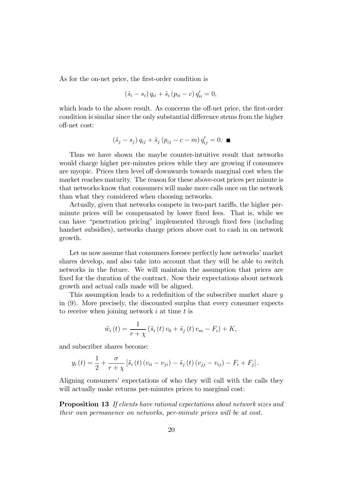As for the on-net price, the first-order condition is

$$
(\tilde{s}_i - s_i) q_{ii} + \tilde{s}_i (p_{ii} - c) q'_{ii} = 0,
$$

which leads to the above result. As concerns the off-net price, the first-order condition is similar since the only substantial difference stems from the higher off-net cost:

$$
(\tilde{s}_j - s_j) q_{ij} + \tilde{s}_j (p_{ij} - c - m) q'_{ij} = 0.
$$

Thus we have shown the maybe counter-intuitive result that networks would charge higher per-minutes prices while they are growing if consumers are myopic. Prices then level off downwards towards marginal cost when the market reaches maturity. The reason for these above-cost prices per minute is that networks know that consumers will make more calls once on the network than what they considered when choosing networks.

Actually, given that networks compete in two-part tariffs, the higher perminute prices will be compensated by lower fixed fees. That is, while we can have "penetration pricing" implemented through fixed fees (including handset subsidies), networks charge prices above cost to cash in on network growth.

Let us now assume that consumers foresee perfectly how networks' market shares develop, and also take into account that they will be able to switch networks in the future. We will maintain the assumption that prices are fixed for the duration of the contract. Now their expectations about network growth and actual calls made will be aligned.

This assumption leads to a redefinition of the subscriber market share y in (9). More precisely, the discounted surplus that every consumer expects to receive when joining network  $i$  at time  $t$  is

$$
\tilde{w}_{i}(t) = \frac{1}{r + \chi} (\tilde{s}_{i}(t) v_{0} + \tilde{s}_{j}(t) v_{m} - F_{i}) + K,
$$

and subscriber shares become:

$$
y_i(t) = \frac{1}{2} + \frac{\sigma}{r + \chi} \left[ \tilde{s}_i(t) (v_{ii} - v_{ji}) - \tilde{s}_j(t) (v_{jj} - v_{ij}) - F_i + F_j \right].
$$

Aligning consumers' expectations of who they will call with the calls they will actually make returns per-minutes prices to marginal cost:

**Proposition 13** If clients have rational expectations about network sizes and their own permanence on networks, per-minute prices will be at cost.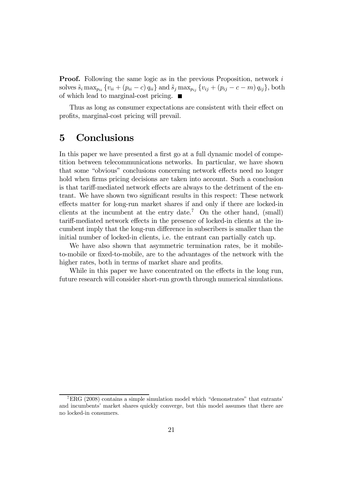Proof. Following the same logic as in the previous Proposition, network i solves  $\tilde{s}_i \max_{p_{ii}} \{v_{ii} + (p_{ii} - c) q_{ii}\}$  and  $\tilde{s}_j \max_{p_{ij}} \{v_{ij} + (p_{ij} - c - m) q_{ij}\}$ , both of which lead to marginal-cost pricing.  $\blacksquare$ 

Thus as long as consumer expectations are consistent with their effect on profits, marginal-cost pricing will prevail.

# 5 Conclusions

In this paper we have presented a first go at a full dynamic model of competition between telecommunications networks. In particular, we have shown that some "obvious" conclusions concerning network effects need no longer hold when firms pricing decisions are taken into account. Such a conclusion is that tariff-mediated network effects are always to the detriment of the entrant. We have shown two significant results in this respect: These network effects matter for long-run market shares if and only if there are locked-in clients at the incumbent at the entry date.<sup>7</sup> On the other hand, (small) tariff-mediated network effects in the presence of locked-in clients at the incumbent imply that the long-run difference in subscribers is smaller than the initial number of locked-in clients, i.e. the entrant can partially catch up.

We have also shown that asymmetric termination rates, be it mobileto-mobile or fixed-to-mobile, are to the advantages of the network with the higher rates, both in terms of market share and profits.

While in this paper we have concentrated on the effects in the long run, future research will consider short-run growth through numerical simulations.

 $7ERG$  (2008) contains a simple simulation model which "demonstrates" that entrants' and incumbents' market shares quickly converge, but this model assumes that there are no locked-in consumers.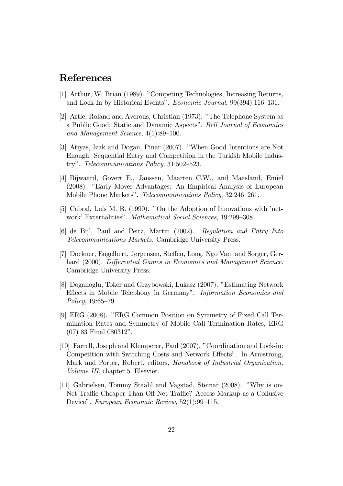# References

- [1] Arthur, W. Brian (1989). "Competing Technologies, Increasing Returns, and Lock-In by Historical Events". Economic Journal, 99(394):116—131.
- [2] Artle, Roland and Averous, Christian (1973). "The Telephone System as a Public Good: Static and Dynamic Aspects". Bell Journal of Economics and Management Science, 4(1):89—100.
- [3] Atiyas, Izak and Dogan, Pinar (2007). "When Good Intentions are Not Enough: Sequential Entry and Competition in the Turkish Mobile Industry". Telecommunications Policy, 31:502—523.
- [4] Bijwaard, Govert E., Janssen, Maarten C.W., and Maasland, Emiel (2008). "Early Mover Advantages: An Empirical Analysis of European Mobile Phone Markets". Telecommunications Policy, 32:246—261.
- [5] Cabral, Luís M. B. (1990). "On the Adoption of Innovations with 'network' Externalities". Mathematical Social Sciences, 19:299—308.
- [6] de Bijl, Paul and Peitz, Martin (2002). Regulation and Entry Into Telecommunications Markets. Cambridge University Press.
- [7] Dockner, Engelbert, Jørgensen, Steffen, Long, Ngo Van, and Sorger, Gerhard (2000). Differential Games in Economics and Management Science. Cambridge University Press.
- [8] Doganoglu, Toker and Grzybowski, Lukasz (2007). "Estimating Network Effects in Mobile Telephony in Germany". Information Economics and Policy, 19:65—79.
- [9] ERG (2008). "ERG Common Position on Symmetry of Fixed Call Termination Rates and Symmetry of Mobile Call Termination Rates, ERG (07) 83 Final 080312".
- [10] Farrell, Joseph and Klemperer, Paul (2007). "Coordination and Lock-in: Competition with Switching Costs and Network Effects". In Armstrong, Mark and Porter, Robert, editors, Handbook of Industrial Organization, Volume III, chapter 5. Elsevier.
- [11] Gabrielsen, Tommy Staahl and Vagstad, Steinar (2008). "Why is on-Net Traffic Cheaper Than Off-Net Traffic? Access Markup as a Collusive Device". European Economic Review, 52(1):99—115.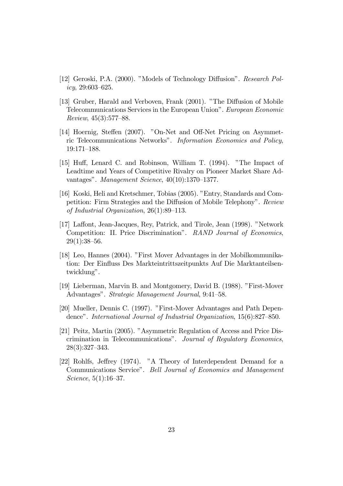- [12] Geroski, P.A. (2000). "Models of Technology Diffusion". Research Policy, 29:603—625.
- [13] Gruber, Harald and Verboven, Frank (2001). "The Diffusion of Mobile Telecommunications Services in the European Union". European Economic Review, 45(3):577—88.
- [14] Hoernig, Steffen (2007). "On-Net and Off-Net Pricing on Asymmetric Telecommunications Networks". Information Economics and Policy, 19:171—188.
- [15] Huff, Lenard C. and Robinson, William T. (1994). "The Impact of Leadtime and Years of Competitive Rivalry on Pioneer Market Share Advantages". Management Science, 40(10):1370—1377.
- [16] Koski, Heli and Kretschmer, Tobias (2005). "Entry, Standards and Competition: Firm Strategies and the Diffusion of Mobile Telephony". Review of Industrial Organization, 26(1):89—113.
- [17] Laffont, Jean-Jacques, Rey, Patrick, and Tirole, Jean (1998). "Network Competition: II. Price Discrimination". RAND Journal of Economics, 29(1):38—56.
- [18] Leo, Hannes (2004). "First Mover Advantages in der Mobilkommunikation: Der Einfluss Des Markteintrittszeitpunkts Auf Die Marktanteilsentwicklung".
- [19] Lieberman, Marvin B. and Montgomery, David B. (1988). "First-Mover Advantages". Strategic Management Journal, 9:41—58.
- [20] Mueller, Dennis C. (1997). "First-Mover Advantages and Path Dependence". International Journal of Industrial Organization, 15(6):827—850.
- [21] Peitz, Martin (2005). "Asymmetric Regulation of Access and Price Discrimination in Telecommunications". Journal of Regulatory Economics, 28(3):327—343.
- [22] Rohlfs, Jeffrey (1974). "A Theory of Interdependent Demand for a Communications Service". Bell Journal of Economics and Management Science, 5(1):16—37.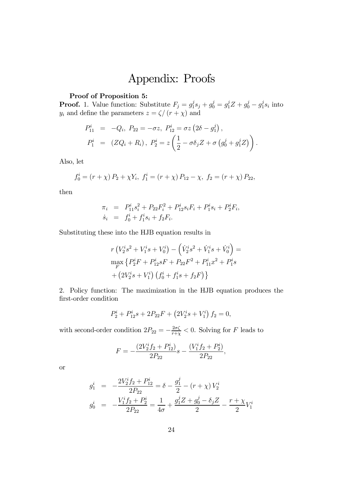# Appendix: Proofs

#### Proof of Proposition 5:

**Proof.** 1. Value function: Substitute  $F_j = g_1^j$  $j_1^j s_j + g_0^j = g_1^j Z + g_0^j - g_1^j$  $i<sub>1</sub>s<sub>i</sub>$  into  $y_i$  and define the parameters  $z = \zeta/(r + \chi)$  and

$$
P_{11}^{i} = -Q_{i}, P_{22} = -\sigma z, P_{12}^{i} = \sigma z (2\delta - g_{1}^{j}),
$$
  
\n
$$
P_{1}^{i} = (ZQ_{i} + R_{i}), P_{2}^{i} = z \left(\frac{1}{2} - \sigma \delta_{j} Z + \sigma (g_{0}^{j} + g_{1}^{j} Z)\right).
$$

Also, let

$$
f_0^i = (r + \chi) P_2 + \chi Y_i, \ f_1^i = (r + \chi) P_{12} - \chi, \ f_2 = (r + \chi) P_{22},
$$

then

$$
\pi_i = P_{11}^i s_i^2 + P_{22} F_i^2 + P_{12}^i s_i F_i + P_1^i s_i + P_2^i F_i,
$$
  
\n
$$
\dot{s}_i = f_0^i + f_1^i s_i + f_2 F_i.
$$

Substituting these into the HJB equation results in

$$
r\left(V_2^i s^2 + V_1^i s + V_0^i\right) - \left(\dot{V}_2^i s^2 + \dot{V}_1^i s + \dot{V}_0^i\right) =
$$
  
\n
$$
\max_{F} \left\{P_2^i F + P_{12}^i s F + P_{22} F^2 + P_{11}^i x^2 + P_1^i s + (2V_2^i s + V_1^i) \left(f_0^i + f_1^i s + f_2 F\right)\right\}
$$

2. Policy function: The maximization in the HJB equation produces the first-order condition

$$
P_2^i + P_{12}^i s + 2P_{22}F + (2V_2^i s + V_1^i) f_2 = 0,
$$

with second-order condition  $2P_{22} = -\frac{2\sigma\zeta}{r+1}$  $\frac{2\sigma\zeta}{r+\chi}$  < 0. Solving for F leads to

$$
F = -\frac{(2V_2^i f_2 + P_{12}^i)}{2P_{22}}s - \frac{(V_1^i f_2 + P_2^i)}{2P_{22}},
$$

or

$$
g_1^i = -\frac{2V_2^i f_2 + P_{12}^i}{2P_{22}} = \delta - \frac{g_1^j}{2} - (r + \chi) V_2^i
$$
  

$$
g_0^i = -\frac{V_1^i f_2 + P_2^i}{2P_{22}} = \frac{1}{4\sigma} + \frac{g_1^j Z + g_0^j - \delta_j Z}{2} - \frac{r + \chi}{2} V_1^i
$$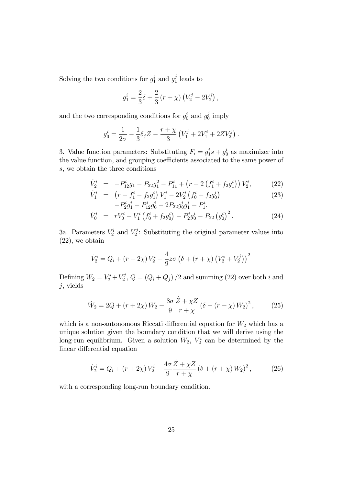Solving the two conditions for  $g_1^i$  and  $g_1^j$  $_1^j$  leads to

$$
g_1^i = \frac{2}{3}\delta + \frac{2}{3}(r + \chi) (V_2^j - 2V_2^i),
$$

and the two corresponding conditions for  $g_0^i$  and  $g_0^j$  $_0^j$  imply

$$
g_0^i = \frac{1}{2\sigma} - \frac{1}{3}\delta_j Z - \frac{r + \chi}{3} \left( V_1^j + 2V_1^i + 2ZV_2^j \right).
$$

3. Value function parameters: Substituting  $F_i = g_1^i s + g_0^i$  as maximizer into the value function, and grouping coefficients associated to the same power of s, we obtain the three conditions

$$
\dot{V}_2^i = -P_{12}^i g_1 - P_{22} g_1^2 - P_{11}^i + (r - 2(f_1^i + f_2 g_1^i)) V_2^i, \tag{22}
$$
\n
$$
\dot{V}_2^i = (f_1^i - f_2^i) V_2^i - 2V_1^i (f_1^i + f_2^i) V_2^i, \tag{23}
$$

$$
\dot{V}_1^i = \left( r - f_1^i - f_2 g_1^i \right) V_1^i - 2V_2^i \left( f_0^i + f_2 g_0^i \right) \n- P_2^i g_1^i - P_{12}^i g_0^i - 2P_{22} g_0^i g_1^i - P_1^i,
$$
\n(23)

$$
-P_2^i g_1^i - P_{12}^i g_0^i - 2P_{22} g_0^i g_1^i - P_1^i,
$$
  
\n
$$
\dot{V}_0^i = rV_0^i - V_1^i \left(f_0^i + f_2 g_0^i\right) - P_2^i g_0^i - P_{22} \left(g_0^i\right)^2.
$$
\n(24)

3a. Parameters  $V_2^i$  and  $V_2^j$  $Z_2$ : Substituting the original parameter values into (22), we obtain

$$
\dot{V}_{2}^{i} = Q_{i} + (r + 2\chi) V_{2}^{i} - \frac{4}{9} z \sigma \left( \delta + (r + \chi) \left( V_{2}^{i} + V_{2}^{j} \right) \right)^{2}
$$

Defining  $W_2 = V_2^i + V_2^j$  $Z_2^j$ ,  $Q = (Q_i + Q_j) / 2$  and summing (22) over both i and  $j$ , yields

$$
\dot{W}_2 = 2Q + (r + 2\chi)W_2 - \frac{8\sigma}{9} \frac{\dot{Z} + \chi Z}{r + \chi} (\delta + (r + \chi)W_2)^2, \tag{25}
$$

which is a non-autonomous Riccati differential equation for  $W_2$  which has a unique solution given the boundary condition that we will derive using the long-run equilibrium. Given a solution  $W_2$ ,  $V_2^i$  can be determined by the linear differential equation

$$
\dot{V}_2^i = Q_i + (r + 2\chi) V_2^i - \frac{4\sigma}{9} \frac{\dot{Z} + \chi Z}{r + \chi} (\delta + (r + \chi) W_2)^2, \tag{26}
$$

with a corresponding long-run boundary condition.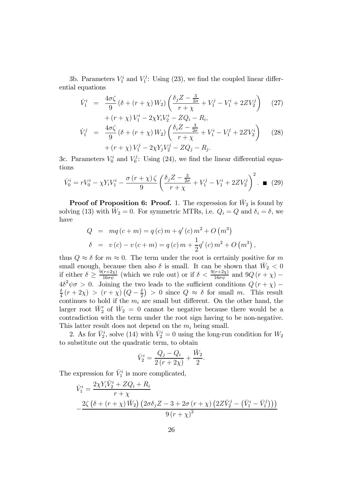3b. Parameters  $V_1^i$  and  $V_1^j$  $I_1^{\prime}$ : Using (23), we find the coupled linear differential equations

$$
\dot{V}_1^i = \frac{4\sigma\zeta}{9} (\delta + (r + \chi) W_2) \left( \frac{\delta_j Z - \frac{3}{2\sigma}}{r + \chi} + V_1^j - V_1^i + 2ZV_2^j \right) \tag{27}
$$
\n
$$
+ (r + \chi) V_1^i - 2\chi Y_i V_2^i - ZQ_i - R_i,
$$

$$
\dot{V}_1^j = \frac{4\sigma\zeta}{9} (\delta + (r + \chi) W_2) \left( \frac{\delta_i Z - \frac{3}{2\sigma}}{r + \chi} + V_1^i - V_1^j + 2ZV_2^i \right) \tag{28}
$$
\n
$$
+ (r + \chi) V_1^j - 2\chi Y_j V_2^j - ZQ_j - R_j.
$$

3c. Parameters  $V_0^i$  and  $V_0^j$  $C_0^j$ : Using (24), we find the linear differential equations

$$
\dot{V}_0^i = rV_0^i - \chi Y_i V_1^i - \frac{\sigma (r + \chi) \zeta}{9} \left( \frac{\delta_j Z - \frac{3}{2\sigma}}{r + \chi} + V_1^j - V_1^i + 2Z V_2^j \right)^2. \quad \blacksquare \tag{29}
$$

**Proof of Proposition 6: Proof.** 1. The expression for  $\bar{W}_2$  is found by solving (13) with  $\dot{W}_2 = 0$ . For symmetric MTRs, i.e.  $Q_i = Q$  and  $\delta_i = \delta$ , we have

$$
Q = mq(c + m) = q(c) m + q'(c) m2 + O(m3)
$$
  

$$
\delta = v(c) - v(c + m) = q(c) m + \frac{1}{2}q'(c) m2 + O(m3),
$$

thus  $Q \approx \delta$  for  $m \approx 0$ . The term under the root is certainly positive for m small enough, because then also  $\delta$  is small. It can be shown that  $\bar{W}_2 < 0$ if either  $\delta \geq \frac{9(r+2\chi)}{16\sigma\psi}$  (which we rule out) or if  $\delta < \frac{9(r+2\chi)}{16\sigma\psi}$  and  $9Q(r+\chi)$  –  $4\delta^2\psi\sigma > 0$ . Joining the two leads to the sufficient conditions  $Q(r+\chi)$  – δ  $\frac{\delta}{4}(r+2\chi) > (r+\chi)\left(Q-\frac{\delta}{2}\right)$  $\left(\frac{\delta}{2}\right) > 0$  since  $Q \approx \delta$  for small m. This result continues to hold if the  $m_i$  are small but different. On the other hand, the larger root  $\bar{W}'_2$  of  $\dot{W}_2 = 0$  cannot be negative because there would be a contradiction with the term under the root sign having to be non-negative. This latter result does not depend on the  $m_i$  being small.

2. As for  $\bar{V}_2^i$ , solve (14) with  $\dot{V}_2^i = 0$  using the long-run condition for  $W_2$ to substitute out the quadratic term, to obtain

$$
\bar{V}_2^i = \frac{Q_j - Q_i}{2(r + 2\chi)} + \frac{\bar{W}_2}{2}.
$$

The expression for  $\bar{V}_1^i$  is more complicated,

$$
\bar{V}_1^i = \frac{2\chi Y_i \bar{V}_2^i + Z Q_i + R_i}{r + \chi} \n- \frac{2\zeta \left(\delta + (r + \chi) \bar{W}_2\right) \left(2\sigma \delta_j Z - 3 + 2\sigma (r + \chi) \left(2Z \bar{V}_2^j - \left(\bar{V}_1^i - \bar{V}_1^j\right)\right)\right)}{9 \left(r + \chi\right)^2}
$$